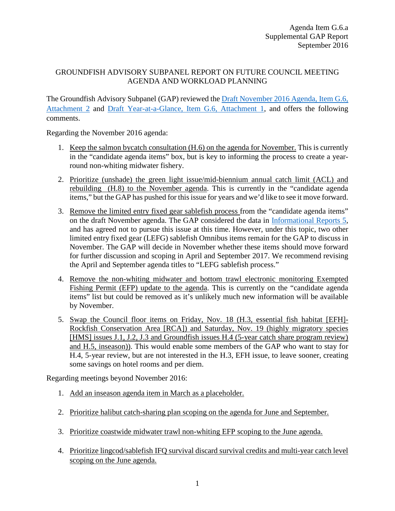## GROUNDFISH ADVISORY SUBPANEL REPORT ON FUTURE COUNCIL MEETING AGENDA AND WORKLOAD PLANNING

The Groundfish Advisory Subpanel (GAP) reviewed the Draft November 2016 [Agenda, Item G.6,](http://www.pcouncil.org/wp-content/uploads/2016/08/G6_Att2_Nov16QR_DRAFT_SEPT2016BB.pdf)  [Attachment 2](http://www.pcouncil.org/wp-content/uploads/2016/08/G6_Att2_Nov16QR_DRAFT_SEPT2016BB.pdf) and [Draft Year-at-a-Glance, Item G.6, Attachment 1,](http://www.pcouncil.org/wp-content/uploads/2016/08/G6_Att1_YAG_DRAFT_SEPT2016BB.pdf) and offers the following comments.

Regarding the November 2016 agenda:

- 1. Keep the salmon bycatch consultation (H.6) on the agenda for November. This is currently in the "candidate agenda items" box, but is key to informing the process to create a yearround non-whiting midwater fishery.
- 2. Prioritize (unshade) the green light issue/mid-biennium annual catch limit (ACL) and rebuilding (H.8) to the November agenda. This is currently in the "candidate agenda items," but the GAP has pushed for this issue for years and we'd like to see it move forward.
- 3. Remove the limited entry fixed gear sablefish process from the "candidate agenda items" on the draft November agenda. The GAP considered the data in [Informational Reports](http://www.pcouncil.org/wp-content/uploads/2016/08/IR5_LEFG_Sablefish_Rpt_SEPT2016BB.pdf) 5, and has agreed not to pursue this issue at this time. However, under this topic, two other limited entry fixed gear (LEFG) sablefish Omnibus items remain for the GAP to discuss in November. The GAP will decide in November whether these items should move forward for further discussion and scoping in April and September 2017. We recommend revising the April and September agenda titles to "LEFG sablefish process."
- 4. Remove the non-whiting midwater and bottom trawl electronic monitoring Exempted Fishing Permit (EFP) update to the agenda. This is currently on the "candidate agenda items" list but could be removed as it's unlikely much new information will be available by November.
- 5. Swap the Council floor items on Friday, Nov. 18 (H.3, essential fish habitat [EFH]- Rockfish Conservation Area [RCA]) and Saturday, Nov. 19 (highly migratory species [HMS] issues J.1, J.2, J.3 and Groundfish issues H.4 (5-year catch share program review) and H.5, inseason)). This would enable some members of the GAP who want to stay for H.4, 5-year review, but are not interested in the H.3, EFH issue, to leave sooner, creating some savings on hotel rooms and per diem.

Regarding meetings beyond November 2016:

- 1. Add an inseason agenda item in March as a placeholder.
- 2. Prioritize halibut catch-sharing plan scoping on the agenda for June and September.
- 3. Prioritize coastwide midwater trawl non-whiting EFP scoping to the June agenda.
- 4. Prioritize lingcod/sablefish IFQ survival discard survival credits and multi-year catch level scoping on the June agenda.